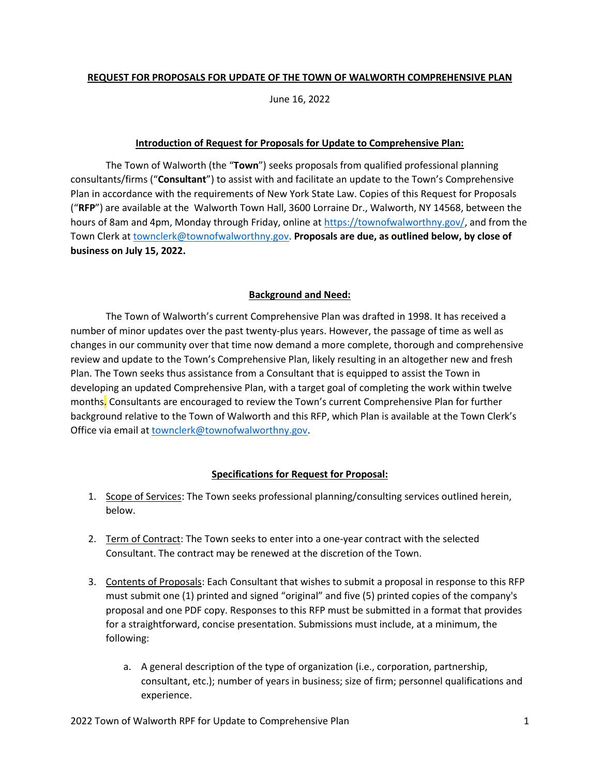### **REQUEST FOR PROPOSALS FOR UPDATE OF THE TOWN OF WALWORTH COMPREHENSIVE PLAN**

June 16, 2022

### **Introduction of Request for Proposals for Update to Comprehensive Plan:**

The Town of Walworth (the "**Town**") seeks proposals from qualified professional planning consultants/firms ("**Consultant**") to assist with and facilitate an update to the Town's Comprehensive Plan in accordance with the requirements of New York State Law. Copies of this Request for Proposals ("**RFP**") are available at the Walworth Town Hall, 3600 Lorraine Dr., Walworth, NY 14568, between the hours of 8am and 4pm, Monday through Friday, online a[t https://townofwalworthny.gov/,](https://townofwalworthny.gov/) and from the Town Clerk at [townclerk@townofwalworthny.gov.](mailto:townclerk@townofwalworthny.gov) **Proposals are due, as outlined below, by close of business on July 15, 2022.** 

## **Background and Need:**

The Town of Walworth's current Comprehensive Plan was drafted in 1998. It has received a number of minor updates over the past twenty-plus years. However, the passage of time as well as changes in our community over that time now demand a more complete, thorough and comprehensive review and update to the Town's Comprehensive Plan, likely resulting in an altogether new and fresh Plan. The Town seeks thus assistance from a Consultant that is equipped to assist the Town in developing an updated Comprehensive Plan, with a target goal of completing the work within twelve months. Consultants are encouraged to review the Town's current Comprehensive Plan for further background relative to the Town of Walworth and this RFP, which Plan is available at the Town Clerk's Office via email at [townclerk@townofwalworthny.gov.](mailto:townclerk@townofwalworthny.gov)

# **Specifications for Request for Proposal:**

- 1. Scope of Services: The Town seeks professional planning/consulting services outlined herein, below.
- 2. Term of Contract: The Town seeks to enter into a one-year contract with the selected Consultant. The contract may be renewed at the discretion of the Town.
- 3. Contents of Proposals: Each Consultant that wishes to submit a proposal in response to this RFP must submit one (1) printed and signed "original" and five (5) printed copies of the company's proposal and one PDF copy. Responses to this RFP must be submitted in a format that provides for a straightforward, concise presentation. Submissions must include, at a minimum, the following:
	- a. A general description of the type of organization (i.e., corporation, partnership, consultant, etc.); number of years in business; size of firm; personnel qualifications and experience.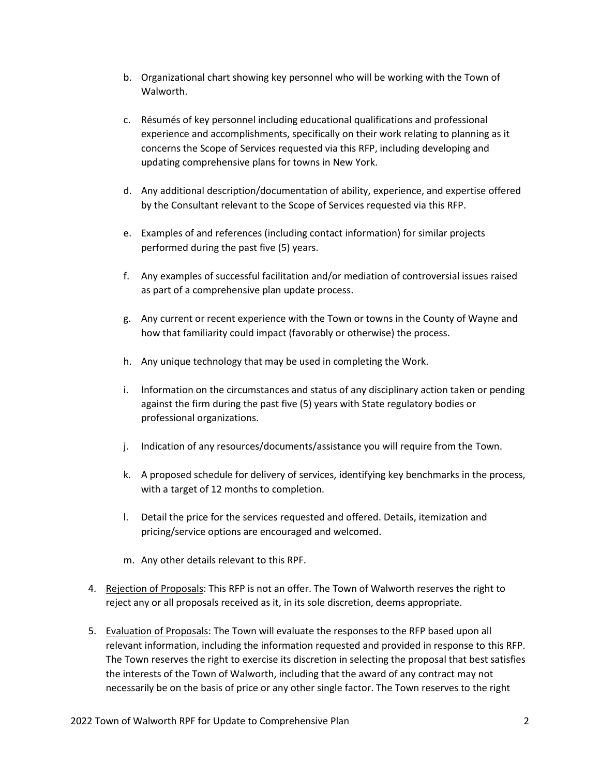- b. Organizational chart showing key personnel who will be working with the Town of Walworth.
- c. Résumés of key personnel including educational qualifications and professional experience and accomplishments, specifically on their work relating to planning as it concerns the Scope of Services requested via this RFP, including developing and updating comprehensive plans for towns in New York.
- d. Any additional description/documentation of ability, experience, and expertise offered by the Consultant relevant to the Scope of Services requested via this RFP.
- e. Examples of and references (including contact information) for similar projects performed during the past five (5) years.
- f. Any examples of successful facilitation and/or mediation of controversial issues raised as part of a comprehensive plan update process.
- g. Any current or recent experience with the Town or towns in the County of Wayne and how that familiarity could impact (favorably or otherwise) the process.
- h. Any unique technology that may be used in completing the Work.
- i. Information on the circumstances and status of any disciplinary action taken or pending against the firm during the past five (5) years with State regulatory bodies or professional organizations.
- j. Indication of any resources/documents/assistance you will require from the Town.
- k. A proposed schedule for delivery of services, identifying key benchmarks in the process, with a target of 12 months to completion.
- l. Detail the price for the services requested and offered. Details, itemization and pricing/service options are encouraged and welcomed.
- m. Any other details relevant to this RPF.
- 4. Rejection of Proposals: This RFP is not an offer. The Town of Walworth reserves the right to reject any or all proposals received as it, in its sole discretion, deems appropriate.
- 5. Evaluation of Proposals: The Town will evaluate the responses to the RFP based upon all relevant information, including the information requested and provided in response to this RFP. The Town reserves the right to exercise its discretion in selecting the proposal that best satisfies the interests of the Town of Walworth, including that the award of any contract may not necessarily be on the basis of price or any other single factor. The Town reserves to the right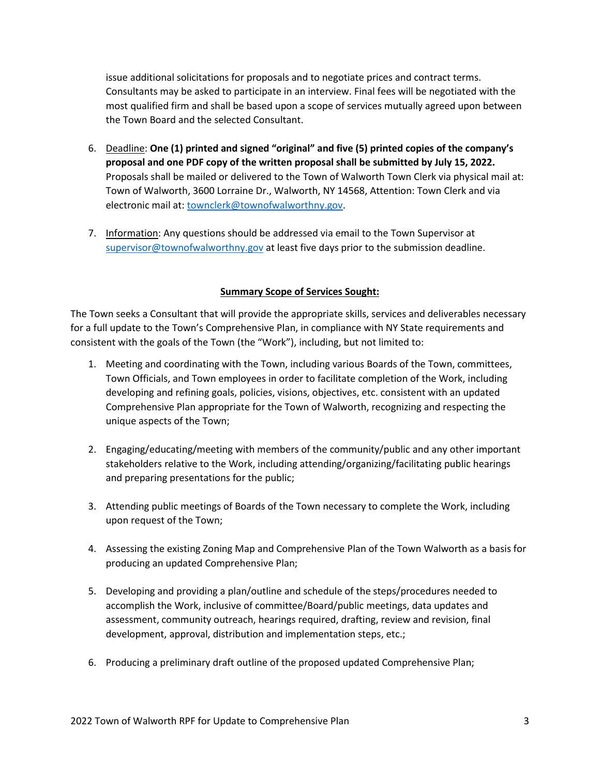issue additional solicitations for proposals and to negotiate prices and contract terms. Consultants may be asked to participate in an interview. Final fees will be negotiated with the most qualified firm and shall be based upon a scope of services mutually agreed upon between the Town Board and the selected Consultant.

- 6. Deadline: **One (1) printed and signed "original" and five (5) printed copies of the company's proposal and one PDF copy of the written proposal shall be submitted by July 15, 2022.** Proposals shall be mailed or delivered to the Town of Walworth Town Clerk via physical mail at: Town of Walworth, 3600 Lorraine Dr., Walworth, NY 14568, Attention: Town Clerk and via electronic mail at: [townclerk@townofwalworthny.gov.](mailto:townclerk@townofwalworthny.gov)
- 7. Information: Any questions should be addressed via email to the Town Supervisor at [supervisor@townofwalworthny.gov](mailto:supervisor@townofwalworthny.gov) at least five days prior to the submission deadline.

### **Summary Scope of Services Sought:**

The Town seeks a Consultant that will provide the appropriate skills, services and deliverables necessary for a full update to the Town's Comprehensive Plan, in compliance with NY State requirements and consistent with the goals of the Town (the "Work"), including, but not limited to:

- 1. Meeting and coordinating with the Town, including various Boards of the Town, committees, Town Officials, and Town employees in order to facilitate completion of the Work, including developing and refining goals, policies, visions, objectives, etc. consistent with an updated Comprehensive Plan appropriate for the Town of Walworth, recognizing and respecting the unique aspects of the Town;
- 2. Engaging/educating/meeting with members of the community/public and any other important stakeholders relative to the Work, including attending/organizing/facilitating public hearings and preparing presentations for the public;
- 3. Attending public meetings of Boards of the Town necessary to complete the Work, including upon request of the Town;
- 4. Assessing the existing Zoning Map and Comprehensive Plan of the Town Walworth as a basis for producing an updated Comprehensive Plan;
- 5. Developing and providing a plan/outline and schedule of the steps/procedures needed to accomplish the Work, inclusive of committee/Board/public meetings, data updates and assessment, community outreach, hearings required, drafting, review and revision, final development, approval, distribution and implementation steps, etc.;
- 6. Producing a preliminary draft outline of the proposed updated Comprehensive Plan;